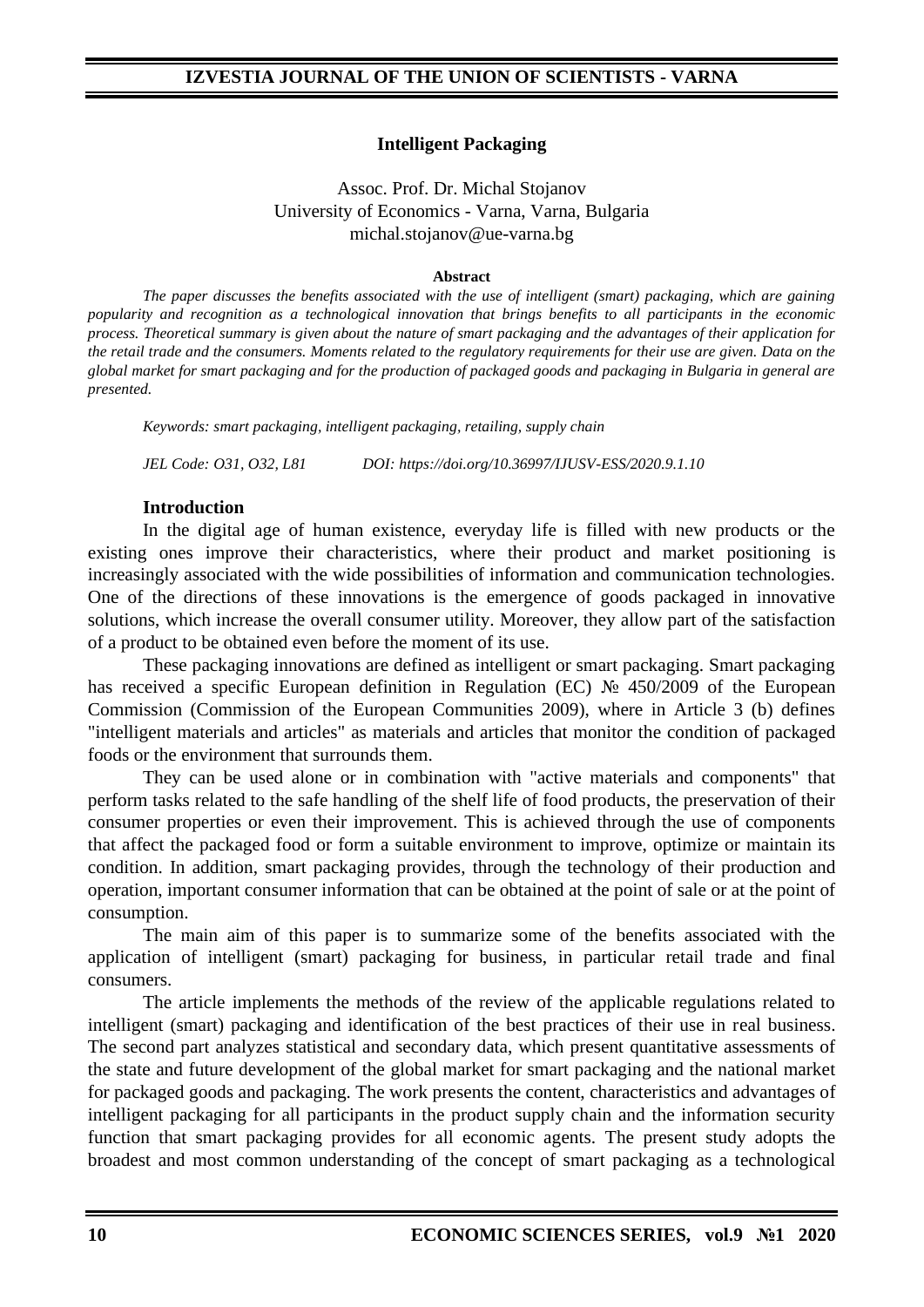### **Intelligent Packaging**

Assoc. Prof. Dr. Michal Stojanov University of Economics - Varna, Varna, Bulgaria michal.stojanov@ue-varna.bg

#### **Abstract**

*The paper discusses the benefits associated with the use of intelligent (smart) packaging, which are gaining popularity and recognition as a technological innovation that brings benefits to all participants in the economic process. Theoretical summary is given about the nature of smart packaging and the advantages of their application for the retail trade and the consumers. Moments related to the regulatory requirements for their use are given. Data on the global market for smart packaging and for the production of packaged goods and packaging in Bulgaria in general are presented.*

*Keywords: smart packaging, intelligent packaging, retailing, supply chain*

*JEL Code: O31, O32, L81 DOI: https://doi.org/10.36997/IJUSV-ESS/2020.9.1.10*

### **Introduction**

In the digital age of human existence, everyday life is filled with new products or the existing ones improve their characteristics, where their product and market positioning is increasingly associated with the wide possibilities of information and communication technologies. One of the directions of these innovations is the emergence of goods packaged in innovative solutions, which increase the overall consumer utility. Moreover, they allow part of the satisfaction of a product to be obtained even before the moment of its use.

These packaging innovations are defined as intelligent or smart packaging. Smart packaging has received a specific European definition in Regulation (EC) № 450/2009 of the European Commission (Commission of the European Communities 2009), where in Article 3 (b) defines "intelligent materials and articles" as materials and articles that monitor the condition of packaged foods or the environment that surrounds them.

They can be used alone or in combination with "active materials and components" that perform tasks related to the safe handling of the shelf life of food products, the preservation of their consumer properties or even their improvement. This is achieved through the use of components that affect the packaged food or form a suitable environment to improve, optimize or maintain its condition. In addition, smart packaging provides, through the technology of their production and operation, important consumer information that can be obtained at the point of sale or at the point of consumption.

The main aim of this paper is to summarize some of the benefits associated with the application of intelligent (smart) packaging for business, in particular retail trade and final consumers.

The article implements the methods of the review of the applicable regulations related to intelligent (smart) packaging and identification of the best practices of their use in real business. The second part analyzes statistical and secondary data, which present quantitative assessments of the state and future development of the global market for smart packaging and the national market for packaged goods and packaging. The work presents the content, characteristics and advantages of intelligent packaging for all participants in the product supply chain and the information security function that smart packaging provides for all economic agents. The present study adopts the broadest and most common understanding of the concept of smart packaging as a technological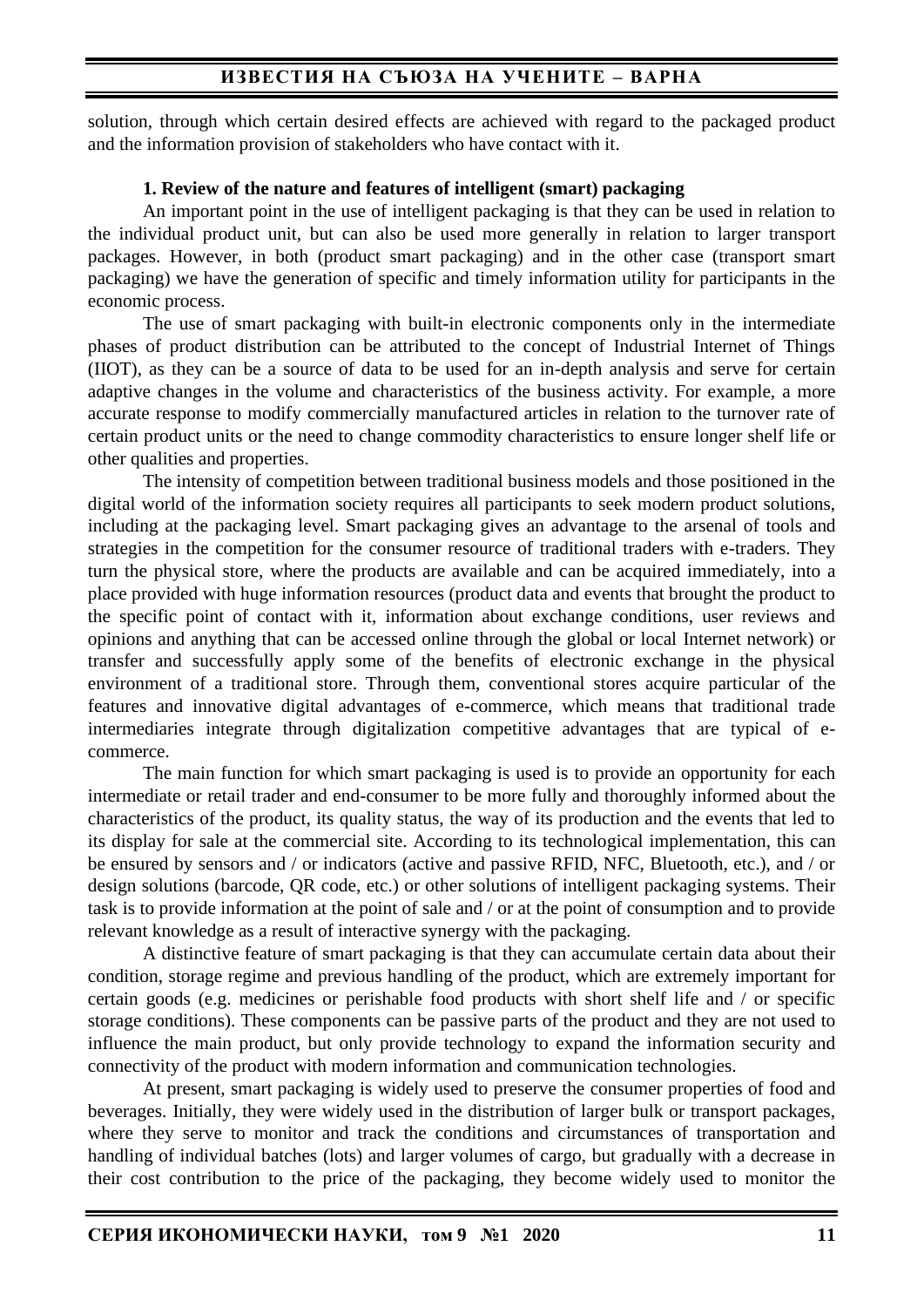# **ИЗВЕСТИЯ НА СЪЮЗА НА УЧЕНИТЕ – ВАРНА**

solution, through which certain desired effects are achieved with regard to the packaged product and the information provision of stakeholders who have contact with it.

#### **1. Review of the nature and features of intelligent (smart) packaging**

An important point in the use of intelligent packaging is that they can be used in relation to the individual product unit, but can also be used more generally in relation to larger transport packages. However, in both (product smart packaging) and in the other case (transport smart packaging) we have the generation of specific and timely information utility for participants in the economic process.

The use of smart packaging with built-in electronic components only in the intermediate phases of product distribution can be attributed to the concept of Industrial Internet of Things (IIOT), as they can be a source of data to be used for an in-depth analysis and serve for certain adaptive changes in the volume and characteristics of the business activity. For example, a more accurate response to modify commercially manufactured articles in relation to the turnover rate of certain product units or the need to change commodity characteristics to ensure longer shelf life or other qualities and properties.

The intensity of competition between traditional business models and those positioned in the digital world of the information society requires all participants to seek modern product solutions, including at the packaging level. Smart packaging gives an advantage to the arsenal of tools and strategies in the competition for the consumer resource of traditional traders with e-traders. They turn the physical store, where the products are available and can be acquired immediately, into a place provided with huge information resources (product data and events that brought the product to the specific point of contact with it, information about exchange conditions, user reviews and opinions and anything that can be accessed online through the global or local Internet network) or transfer and successfully apply some of the benefits of electronic exchange in the physical environment of a traditional store. Through them, conventional stores acquire particular of the features and innovative digital advantages of e-commerce, which means that traditional trade intermediaries integrate through digitalization competitive advantages that are typical of ecommerce.

The main function for which smart packaging is used is to provide an opportunity for each intermediate or retail trader and end-consumer to be more fully and thoroughly informed about the characteristics of the product, its quality status, the way of its production and the events that led to its display for sale at the commercial site. According to its technological implementation, this can be ensured by sensors and / or indicators (active and passive RFID, NFC, Bluetooth, etc.), and / or design solutions (barcode, QR code, etc.) or other solutions of intelligent packaging systems. Their task is to provide information at the point of sale and / or at the point of consumption and to provide relevant knowledge as a result of interactive synergy with the packaging.

A distinctive feature of smart packaging is that they can accumulate certain data about their condition, storage regime and previous handling of the product, which are extremely important for certain goods (e.g. medicines or perishable food products with short shelf life and / or specific storage conditions). These components can be passive parts of the product and they are not used to influence the main product, but only provide technology to expand the information security and connectivity of the product with modern information and communication technologies.

At present, smart packaging is widely used to preserve the consumer properties of food and beverages. Initially, they were widely used in the distribution of larger bulk or transport packages, where they serve to monitor and track the conditions and circumstances of transportation and handling of individual batches (lots) and larger volumes of cargo, but gradually with a decrease in their cost contribution to the price of the packaging, they become widely used to monitor the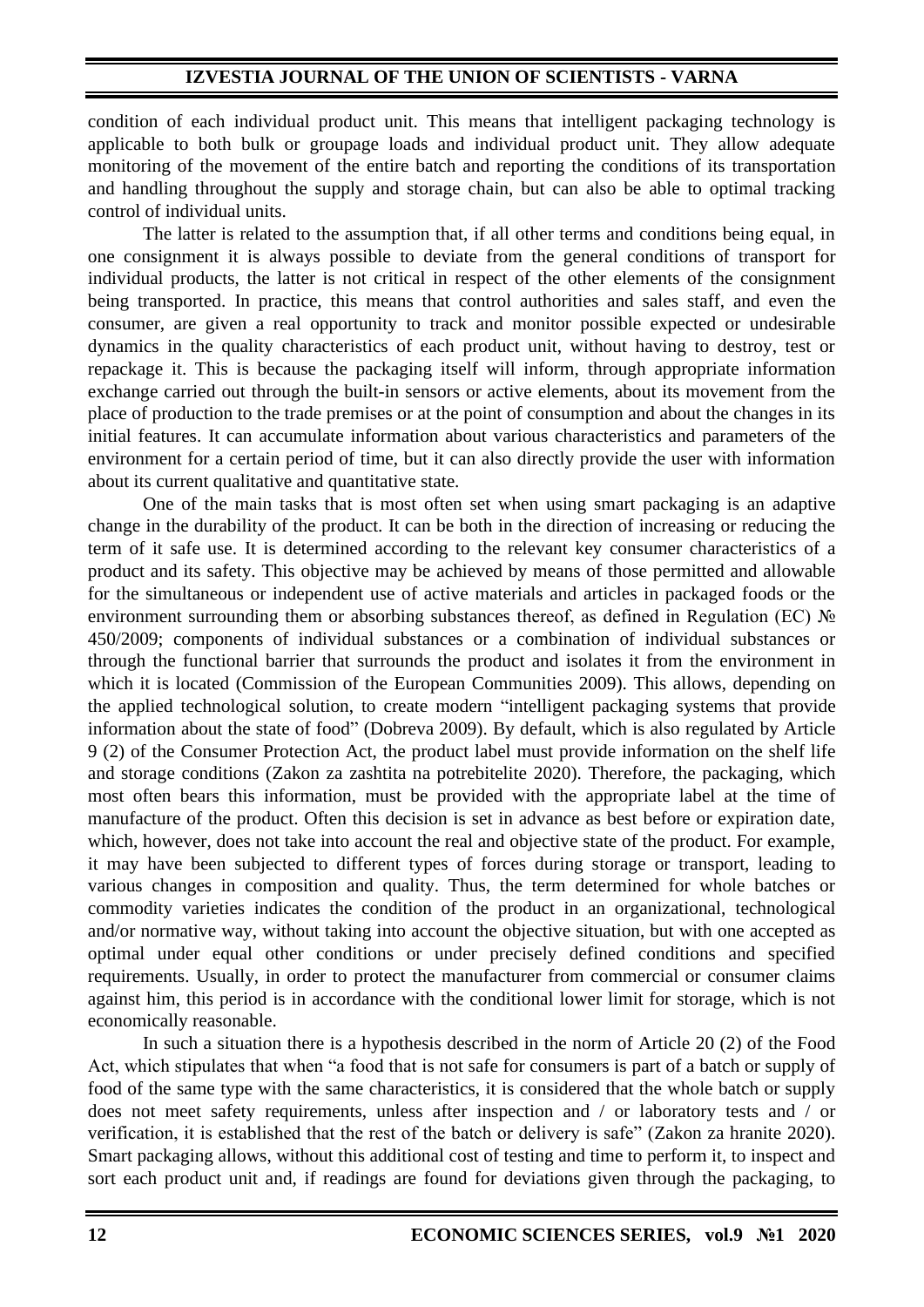## **IZVESTIA JOURNAL OF THE UNION OF SCIENTISTS - VARNA**

condition of each individual product unit. This means that intelligent packaging technology is applicable to both bulk or groupage loads and individual product unit. They allow adequate monitoring of the movement of the entire batch and reporting the conditions of its transportation and handling throughout the supply and storage chain, but can also be able to optimal tracking control of individual units.

The latter is related to the assumption that, if all other terms and conditions being equal, in one consignment it is always possible to deviate from the general conditions of transport for individual products, the latter is not critical in respect of the other elements of the consignment being transported. In practice, this means that control authorities and sales staff, and even the consumer, are given a real opportunity to track and monitor possible expected or undesirable dynamics in the quality characteristics of each product unit, without having to destroy, test or repackage it. This is because the packaging itself will inform, through appropriate information exchange carried out through the built-in sensors or active elements, about its movement from the place of production to the trade premises or at the point of consumption and about the changes in its initial features. It can accumulate information about various characteristics and parameters of the environment for a certain period of time, but it can also directly provide the user with information about its current qualitative and quantitative state.

One of the main tasks that is most often set when using smart packaging is an adaptive change in the durability of the product. It can be both in the direction of increasing or reducing the term of it safe use. It is determined according to the relevant key consumer characteristics of a product and its safety. This objective may be achieved by means of those permitted and allowable for the simultaneous or independent use of active materials and articles in packaged foods or the environment surrounding them or absorbing substances thereof, as defined in Regulation (EC) № 450/2009; components of individual substances or a combination of individual substances or through the functional barrier that surrounds the product and isolates it from the environment in which it is located (Commission of the European Communities 2009). This allows, depending on the applied technological solution, to create modern "intelligent packaging systems that provide information about the state of food" (Dobreva 2009). By default, which is also regulated by Article 9 (2) of the Consumer Protection Act, the product label must provide information on the shelf life and storage conditions (Zakon za zashtita na potrebitelite 2020). Therefore, the packaging, which most often bears this information, must be provided with the appropriate label at the time of manufacture of the product. Often this decision is set in advance as best before or expiration date, which, however, does not take into account the real and objective state of the product. For example, it may have been subjected to different types of forces during storage or transport, leading to various changes in composition and quality. Thus, the term determined for whole batches or commodity varieties indicates the condition of the product in an organizational, technological and/or normative way, without taking into account the objective situation, but with one accepted as optimal under equal other conditions or under precisely defined conditions and specified requirements. Usually, in order to protect the manufacturer from commercial or consumer claims against him, this period is in accordance with the conditional lower limit for storage, which is not economically reasonable.

In such a situation there is a hypothesis described in the norm of Article 20 (2) of the Food Act, which stipulates that when "a food that is not safe for consumers is part of a batch or supply of food of the same type with the same characteristics, it is considered that the whole batch or supply does not meet safety requirements, unless after inspection and / or laboratory tests and / or verification, it is established that the rest of the batch or delivery is safe" (Zakon za hranite 2020). Smart packaging allows, without this additional cost of testing and time to perform it, to inspect and sort each product unit and, if readings are found for deviations given through the packaging, to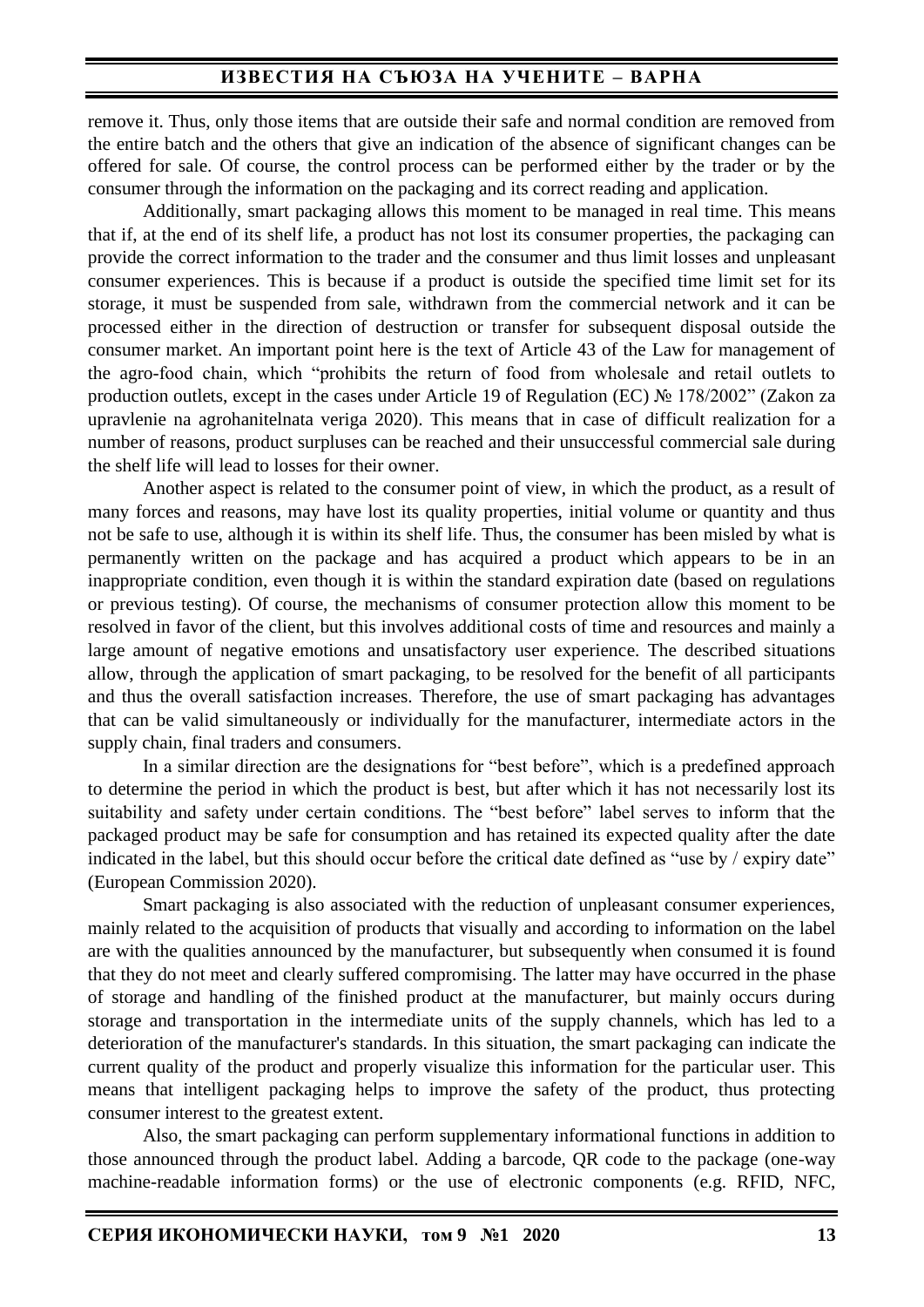### **ИЗВЕСТИЯ НА СЪЮЗА НА УЧЕНИТЕ – ВАРНА**

remove it. Thus, only those items that are outside their safe and normal condition are removed from the entire batch and the others that give an indication of the absence of significant changes can be offered for sale. Of course, the control process can be performed either by the trader or by the consumer through the information on the packaging and its correct reading and application.

Additionally, smart packaging allows this moment to be managed in real time. This means that if, at the end of its shelf life, a product has not lost its consumer properties, the packaging can provide the correct information to the trader and the consumer and thus limit losses and unpleasant consumer experiences. This is because if a product is outside the specified time limit set for its storage, it must be suspended from sale, withdrawn from the commercial network and it can be processed either in the direction of destruction or transfer for subsequent disposal outside the consumer market. An important point here is the text of Article 43 of the Law for management of the agro-food chain, which "prohibits the return of food from wholesale and retail outlets to production outlets, except in the cases under Article 19 of Regulation (EC) № 178/2002" (Zakon za upravlenie na agrohanitelnata veriga 2020). This means that in case of difficult realization for a number of reasons, product surpluses can be reached and their unsuccessful commercial sale during the shelf life will lead to losses for their owner.

Another aspect is related to the consumer point of view, in which the product, as a result of many forces and reasons, may have lost its quality properties, initial volume or quantity and thus not be safe to use, although it is within its shelf life. Thus, the consumer has been misled by what is permanently written on the package and has acquired a product which appears to be in an inappropriate condition, even though it is within the standard expiration date (based on regulations or previous testing). Of course, the mechanisms of consumer protection allow this moment to be resolved in favor of the client, but this involves additional costs of time and resources and mainly a large amount of negative emotions and unsatisfactory user experience. The described situations allow, through the application of smart packaging, to be resolved for the benefit of all participants and thus the overall satisfaction increases. Therefore, the use of smart packaging has advantages that can be valid simultaneously or individually for the manufacturer, intermediate actors in the supply chain, final traders and consumers.

In a similar direction are the designations for "best before", which is a predefined approach to determine the period in which the product is best, but after which it has not necessarily lost its suitability and safety under certain conditions. The "best before" label serves to inform that the packaged product may be safe for consumption and has retained its expected quality after the date indicated in the label, but this should occur before the critical date defined as "use by / expiry date" (European Commission 2020).

Smart packaging is also associated with the reduction of unpleasant consumer experiences, mainly related to the acquisition of products that visually and according to information on the label are with the qualities announced by the manufacturer, but subsequently when consumed it is found that they do not meet and clearly suffered compromising. The latter may have occurred in the phase of storage and handling of the finished product at the manufacturer, but mainly occurs during storage and transportation in the intermediate units of the supply channels, which has led to a deterioration of the manufacturer's standards. In this situation, the smart packaging can indicate the current quality of the product and properly visualize this information for the particular user. This means that intelligent packaging helps to improve the safety of the product, thus protecting consumer interest to the greatest extent.

Also, the smart packaging can perform supplementary informational functions in addition to those announced through the product label. Adding a barcode, QR code to the package (one-way machine-readable information forms) or the use of electronic components (e.g. RFID, NFC,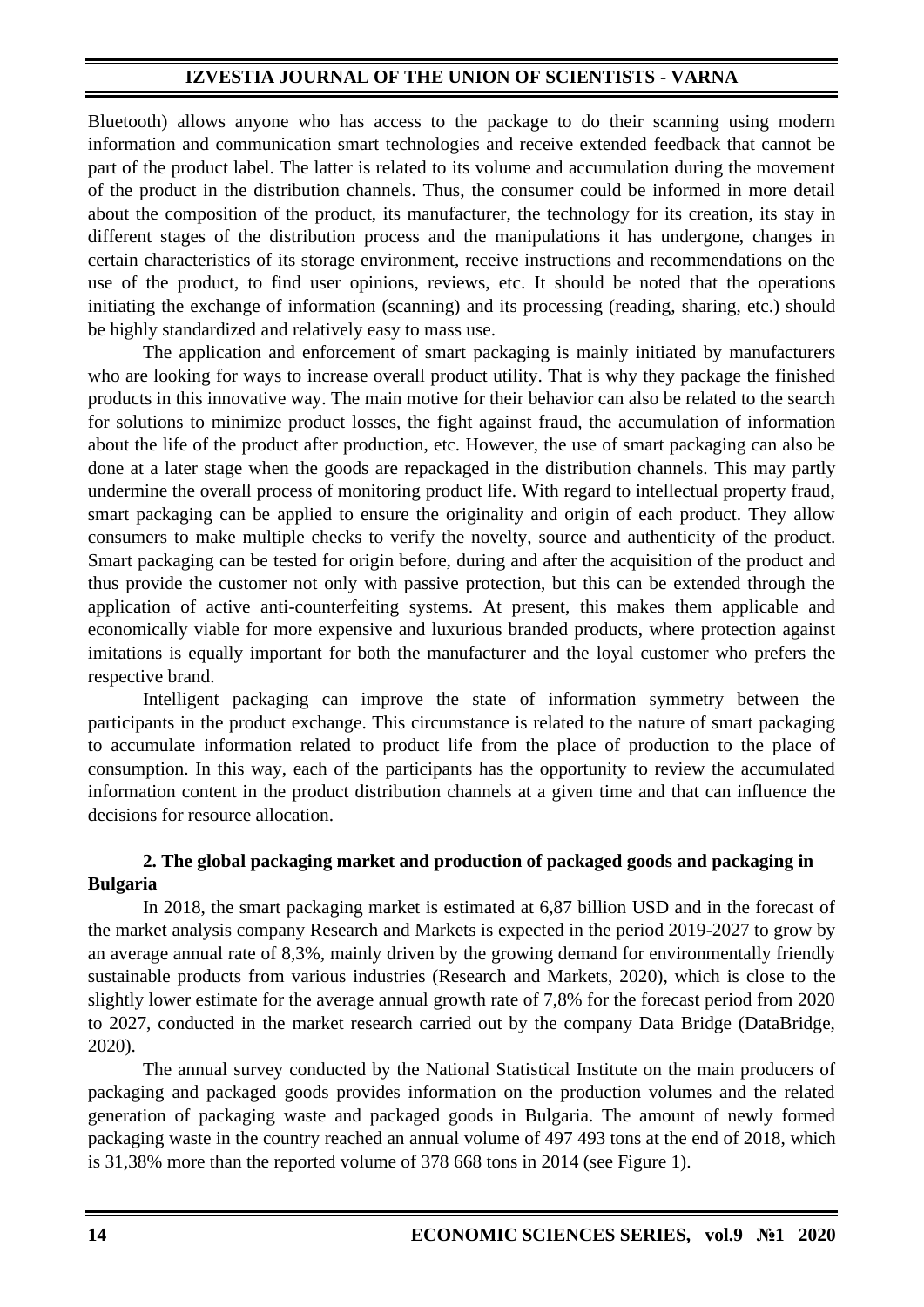# **IZVESTIA JOURNAL OF THE UNION OF SCIENTISTS - VARNA**

Bluetooth) allows anyone who has access to the package to do their scanning using modern information and communication smart technologies and receive extended feedback that cannot be part of the product label. The latter is related to its volume and accumulation during the movement of the product in the distribution channels. Thus, the consumer could be informed in more detail about the composition of the product, its manufacturer, the technology for its creation, its stay in different stages of the distribution process and the manipulations it has undergone, changes in certain characteristics of its storage environment, receive instructions and recommendations on the use of the product, to find user opinions, reviews, etc. It should be noted that the operations initiating the exchange of information (scanning) and its processing (reading, sharing, etc.) should be highly standardized and relatively easy to mass use.

The application and enforcement of smart packaging is mainly initiated by manufacturers who are looking for ways to increase overall product utility. That is why they package the finished products in this innovative way. The main motive for their behavior can also be related to the search for solutions to minimize product losses, the fight against fraud, the accumulation of information about the life of the product after production, etc. However, the use of smart packaging can also be done at a later stage when the goods are repackaged in the distribution channels. This may partly undermine the overall process of monitoring product life. With regard to intellectual property fraud, smart packaging can be applied to ensure the originality and origin of each product. They allow consumers to make multiple checks to verify the novelty, source and authenticity of the product. Smart packaging can be tested for origin before, during and after the acquisition of the product and thus provide the customer not only with passive protection, but this can be extended through the application of active anti-counterfeiting systems. At present, this makes them applicable and economically viable for more expensive and luxurious branded products, where protection against imitations is equally important for both the manufacturer and the loyal customer who prefers the respective brand.

Intelligent packaging can improve the state of information symmetry between the participants in the product exchange. This circumstance is related to the nature of smart packaging to accumulate information related to product life from the place of production to the place of consumption. In this way, each of the participants has the opportunity to review the accumulated information content in the product distribution channels at a given time and that can influence the decisions for resource allocation.

# **2. The global packaging market and production of packaged goods and packaging in Bulgaria**

In 2018, the smart packaging market is estimated at 6,87 billion USD and in the forecast of the market analysis company Research and Markets is expected in the period 2019-2027 to grow by an average annual rate of 8,3%, mainly driven by the growing demand for environmentally friendly sustainable products from various industries (Research and Markets, 2020), which is close to the slightly lower estimate for the average annual growth rate of 7,8% for the forecast period from 2020 to 2027, conducted in the market research carried out by the company Data Bridge (DataBridge, 2020).

The annual survey conducted by the National Statistical Institute on the main producers of packaging and packaged goods provides information on the production volumes and the related generation of packaging waste and packaged goods in Bulgaria. The amount of newly formed packaging waste in the country reached an annual volume of 497 493 tons at the end of 2018, which is 31,38% more than the reported volume of 378 668 tons in 2014 (see Figure 1).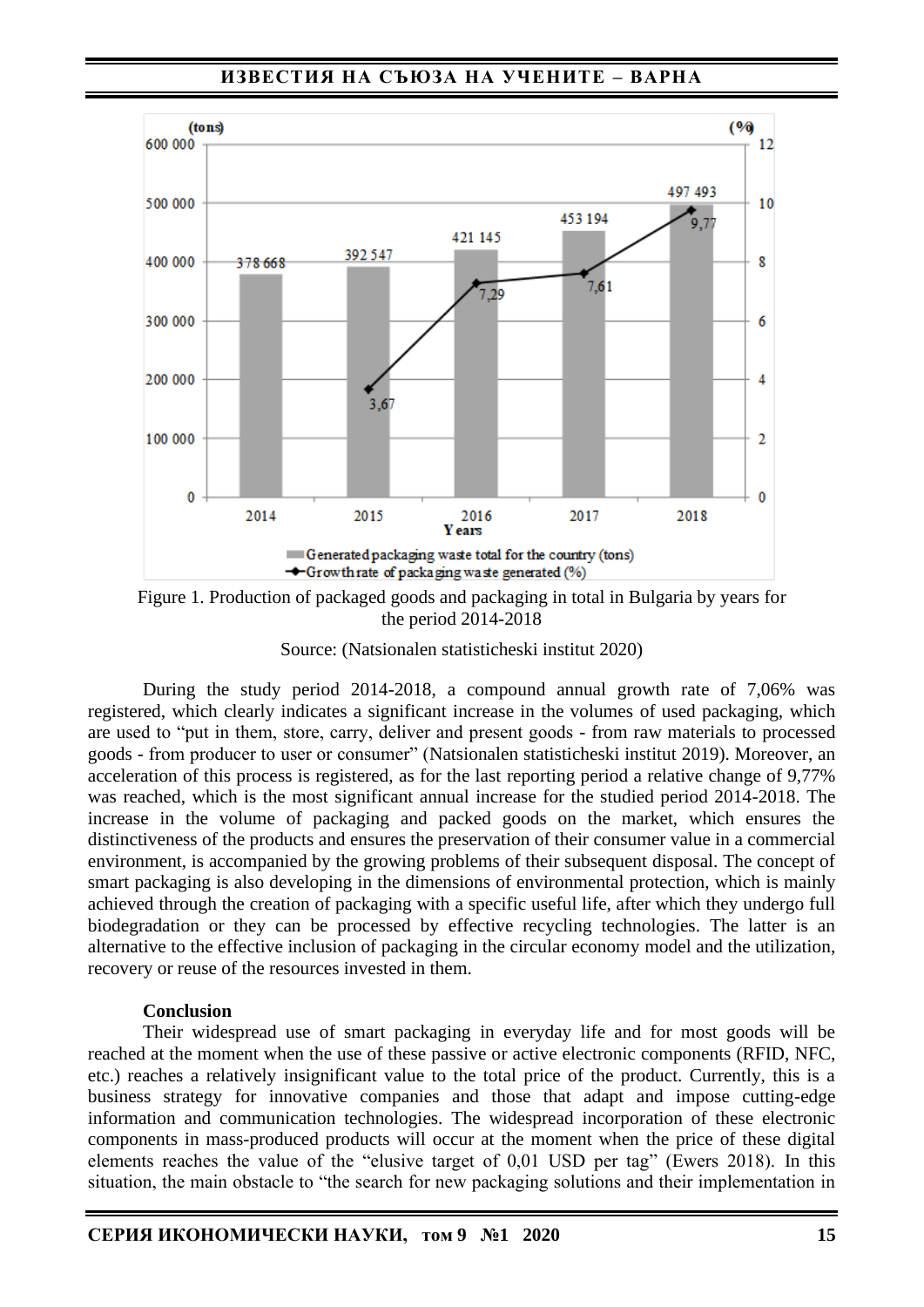**ИЗВЕСТИЯ НА СЪЮЗА НА УЧЕНИТЕ – ВАРНА**



Figure 1. Production of packaged goods and packaging in total in Bulgaria by years for the period 2014-2018

Source: (Natsionalen statisticheski institut 2020)

During the study period 2014-2018, a compound annual growth rate of 7,06% was registered, which clearly indicates a significant increase in the volumes of used packaging, which are used to "put in them, store, carry, deliver and present goods - from raw materials to processed goods - from producer to user or consumer" (Natsionalen statisticheski institut 2019). Moreover, an acceleration of this process is registered, as for the last reporting period a relative change of 9,77% was reached, which is the most significant annual increase for the studied period 2014-2018. The increase in the volume of packaging and packed goods on the market, which ensures the distinctiveness of the products and ensures the preservation of their consumer value in a commercial environment, is accompanied by the growing problems of their subsequent disposal. The concept of smart packaging is also developing in the dimensions of environmental protection, which is mainly achieved through the creation of packaging with a specific useful life, after which they undergo full biodegradation or they can be processed by effective recycling technologies. The latter is an alternative to the effective inclusion of packaging in the circular economy model and the utilization, recovery or reuse of the resources invested in them.

#### **Conclusion**

Their widespread use of smart packaging in everyday life and for most goods will be reached at the moment when the use of these passive or active electronic components (RFID, NFC, etc.) reaches a relatively insignificant value to the total price of the product. Currently, this is a business strategy for innovative companies and those that adapt and impose cutting-edge information and communication technologies. The widespread incorporation of these electronic components in mass-produced products will occur at the moment when the price of these digital elements reaches the value of the "elusive target of 0,01 USD per tag" (Ewers 2018). In this situation, the main obstacle to "the search for new packaging solutions and their implementation in